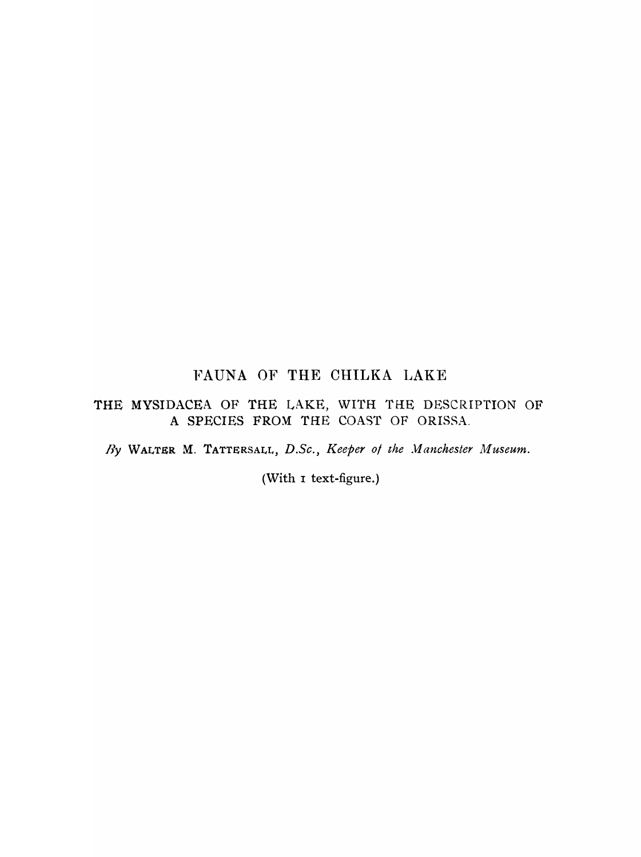# FAUNA OF THE CHILKA LAKE

## THE MYSIDACEA OF THE LAKE, WITH THE DESCRIPTION OF A SPECIES FROM THE COAST OF ORISSA.

fly WALTER M. TATTERSALL, *D.Se., Keeper 0/ the Jlanehester Museum.* 

(With I text-figure.)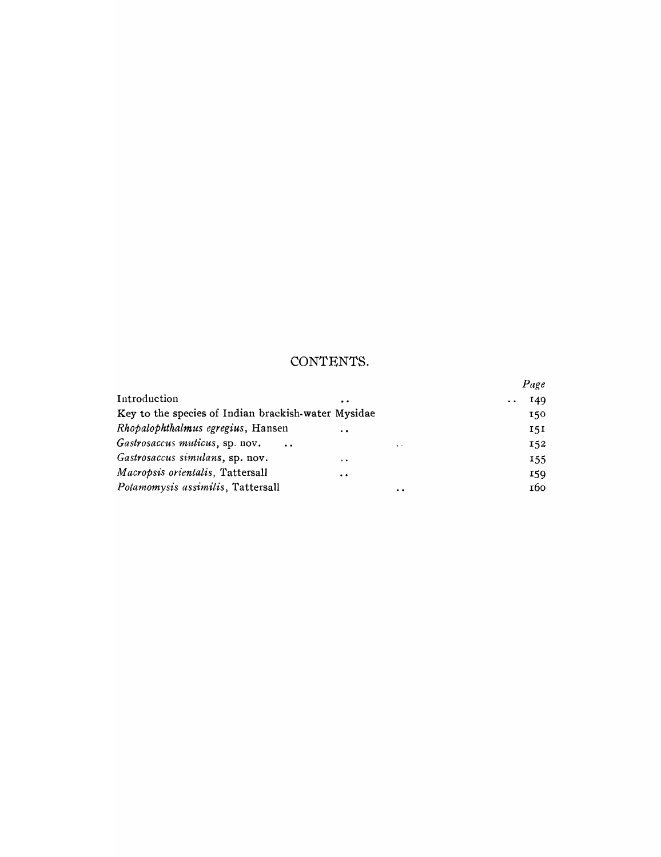# CONTENTS.

|                                                     |                                        | Page |
|-----------------------------------------------------|----------------------------------------|------|
| Introduction                                        | $\bullet\bullet$                       | 149  |
| Key to the species of Indian brackish-water Mysidae |                                        | 150  |
| Rhopalophthalmus egregius, Hansen                   | $\ddot{\phantom{a}}$                   | 151  |
| Gastrosaccus muticus, sp. nov.                      | $\sim$ $\sim$<br>$\bullet$ . $\bullet$ | 152  |
| Gastrosaccus simulans, sp. nov.                     | $\ddot{\phantom{0}}$                   | 155  |
| Macropsis orientalis, Tattersall                    | $\ddot{\bullet}$                       | 159  |
| Potamomysis assimilis, Tattersall                   | $\cdot$ .                              | 160  |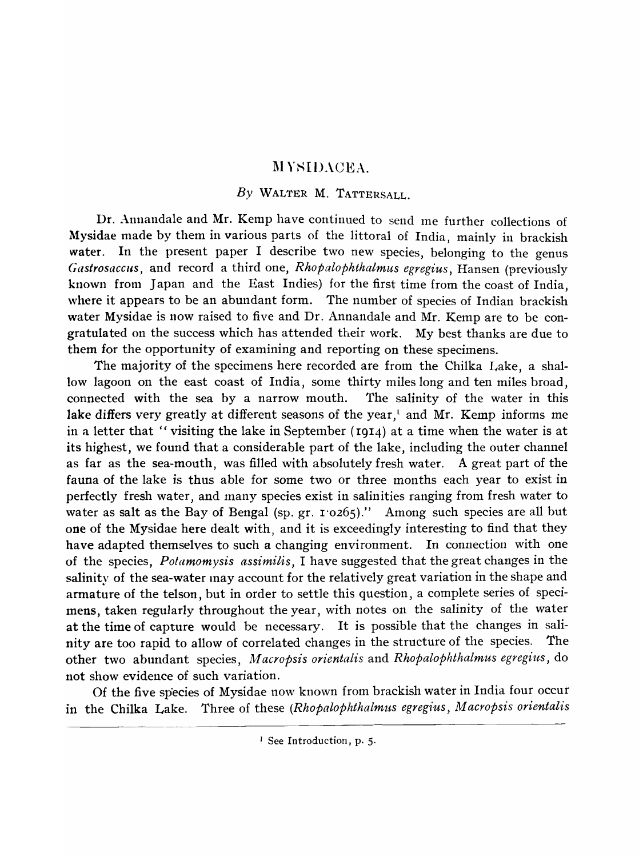## **MYSIDACEA.**

## *By* WALTER M. TATTERSALL.

Dr. Annandale and Mr. Kemp have continued to send Ine further collections of Mysidae made by them in various parts of the littoral of India, mainly in brackish water. In the present paper I describe two new species, belonging to the genus *Gastrosacclts,* and record a third one, *Rhopalophthalmus egregius,* Hansen (previously known from Japan and the East Indies) for the first time from the coast of India, where it appears to be an abundant form. The number of species of Indian brackish water Mysidae is now raised to five and Dr. Annandale and Mr. Kemp are to be congratulated on the success which has attended their work. My best thanks are due to them for the opportunity of examining and reporting on these specimens.

The majority of the specimens here recorded are from the Chilka Lake, a shallow lagoon on the east coast of India, some thirty miles long and ten miles broad, connected with the sea by a narrow mouth. The salinity of the water in this lake differs very greatly at different seasons of the year,<sup>t</sup> and Mr. Kemp informs me in a letter that "visiting the lake in September (I914) at a time when the water is at its highest, we found that a considerable part of the lake, including the outer channel as far as the sea-mouth, was filled with absolutely fresh water. A great part of the fauna of the lake is thus able for some two or three months each year to exist in perfectly fresh water, and many species exist in salinities ranging from fresh water to water as salt as the Bay of Bengal (sp. gr. 1'0265)." Among such species are all but one of the Mysidae here dealt with, and it is exceedingly interesting to find that they have adapted themselves to such a changing environment. In connection with one of the species, *Potamomysis assimilis,* I have suggested that the great changes in the salinity of the sea-water may account for the relatively great variation in the shape and armature of the telson, but in order to settle this question, a complete series of specimens, taken regularly throughout the year, with notes on the salinity of the water at the time of capture would be necessary. It is possible that the changes in salinity are too rapid to allow of correlated changes in the structure of the species. The other two abundant species, *M acropsis orientalis* and *Rhopalophthalmus egregius,* do not show evidence of such variation.

Of the five sp'ecies of Mysidae now known from brackish water in India four occur in the Chilka Lake. Three of these *(Rhopalophthalmus egregius, M acropsis orientalis* 

<sup>1</sup> See Introduction, p. 5.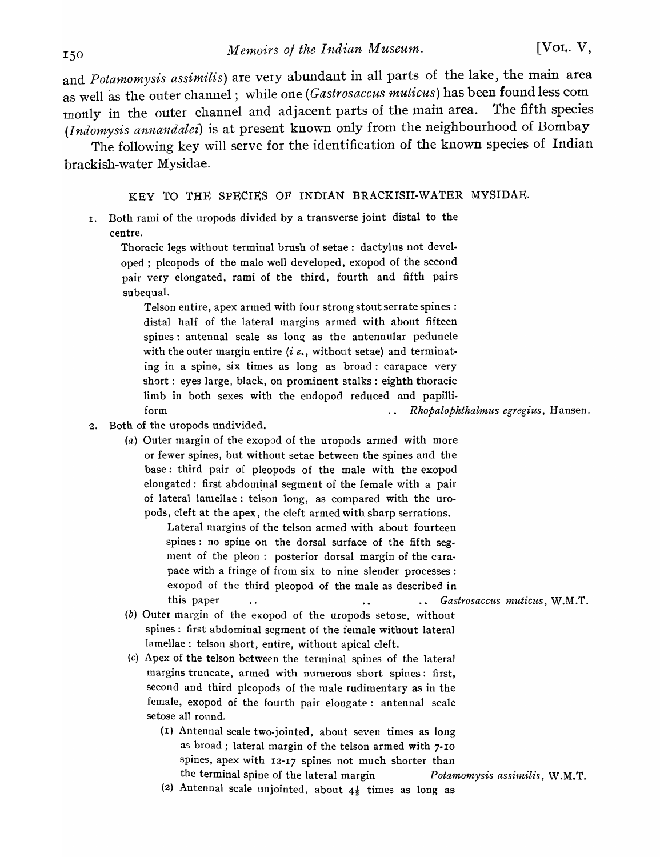and *Potamomysis assimilis)* are very abundant in all parts of the lake, the main area as well as the outer channel; while one *(Gastrosaccus muticus)* has been found less com monly in the outer channel and adjacent parts of the main area. The fifth species *(I ndomysis annandalei)* is at present known only from the neighbourhood of Bombay

The following key will serve for the identification of the known species of Indian brackish-water Mysidae.

#### KEY TO THE SPECIES OF INDIAN BRACKISH-WATER MYSIDAE.

1. Both rami of the uropods divided by a transverse joint distal to the centre.

Thoracic legs without terminal brush of setae: dactylus not developed ; pleopods of the male well developed, exopod of the second pair very elongated, rami of the third, fourth and fifth pairs subequal.

Telson entire, apex armed with four strong stout serrate spines: distal half of the lateral margins armed with about fifteen spines: antennal scale as long as the antennular peduncle with the outer margin entire *(i e., without setae)* and terminating in a spine, six times as long as broad: carapace very short: eyes large, black, on prominent stalks: eighth thoracic limb in both sexes with the endopod reduced and papilliform *Rhopalophthalmus egregius,* Hansen.

- 2. Both of the uropods undivided.
	- (a) Outer margin of the exopod of the uropods armed with more or fewer spines, but without setae between the spines and the base: third pair of pleopods of the male with the exopod elongated: first abdominal segment of the female with a pair of lateral lamellae: telson long, as compared with the uropods, cleft at the apex, the cleft armed with sharp serrations.

Lateral margins of the telson armed with about fourteen spines: no spine on the dorsal surface of the fifth segment of the pleon: posterior dorsal margin of the carapace with a fringe of from six to nine slender processes: exopod of the third pleopod of the male as described in this paper ... **Fastrosaccus muticus, W.M.T.** 

- (b) Outer margin of the exopod of the uropods setose, without spines: first abdominal segment of the female without lateral lamellae: telson short, entire, without apical cleft.
- (c) Apex of the telson between the terminal spines of the lateral margins truncate, armed with numerous short spines: first, second and third pleopods of the male rudimentary as in the female, exopod of the fourth pair elongate: antennal scale setose all round.
	- (1) Antennal scale two-jointed, about seven times as long as broad; lateral margin of the telson armed with 7-10 spines, apex with 12-17 spines not much shorter than the terminal spine of the lateral margin *Potamomysis assimilis,* W.M.T.
	- (2) Antennal scale unjointed, about  $4\frac{1}{2}$  times as long as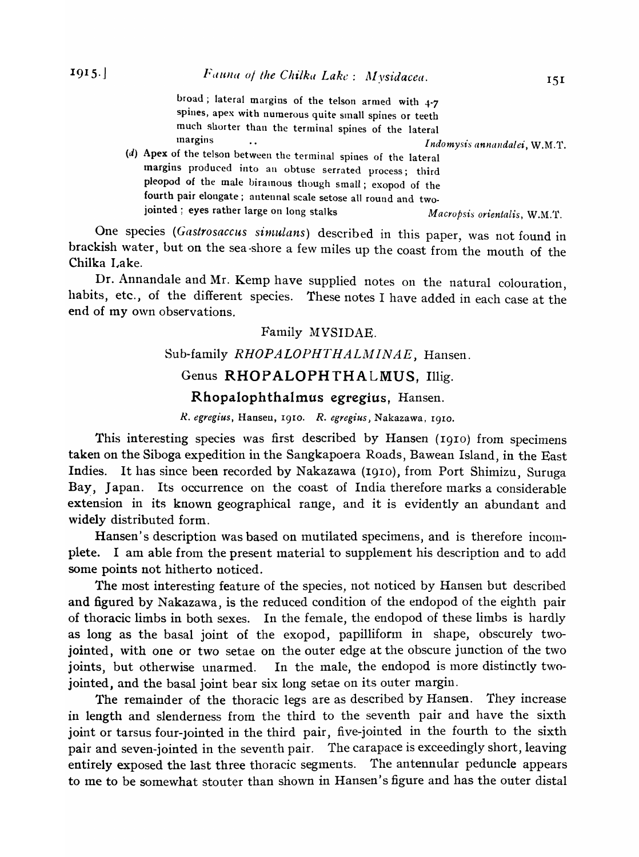broad; lateral margins of the telson armed with 4-7 spines, apex with numerous quite small spines or teeth much shorter than the terminal spines of the lateral *Indomysis annandalei*, W.M.T.

(d) Apex of the telson between the terminal spines of the lateral margins produced into an obtuse serrated process; third pleopod of the male biramous though small; exopod of the fourth pair elongate; antennal scale setose all round and twojointed; eyes rather large on long stalks *Macropsis orientalis,* W.M.'r.

One species (Gastrosaccus simulans) described in this paper, was not found in brackish water, but on the sea-shore a few miles up the coast from the mouth of the Chilka Lake.

Dr. Annandale and Mr. Kemp have supplied notes on the natural colouration habits, etc., of the different species. These notes I have added in each case at the end of my own observations.

### Family MYSIDAE.

#### Sub-family *RHOPALOPHTHALMINAE*, Hansen.

## Genus RHOPALOPHTHALMUS, Illig.

#### Rhopalophthalmus egregius, Hansen.

*R. egregius,* Hansen, 1910. *R. egregius)* Nakazawa, I9IO.

This interesting species was first described by Hansen (1910) from specimens taken on the Siboga expedition in the Sangkapoera Roads, Bawean Island, in the East Indies. It has since been recorded by Nakazawa (1910), from Port Shimizu, Suruga Bay, Japan. Its occurrence on the coast of India therefore marks a considerable extension in its known geographical range, and it is evidently an abundant and widely distributed form.

Hansen's description was based on mutilated specimens, and is therefore incomplete. I am able from the present material to supplement his description and to add some points not hitherto noticed.

The most interesting feature of the species, not noticed by Hansen but described and figured by Nakazawa, is the reduced condition of the endopod of the eighth pair of thoracic limbs in both sexes. In the female, the endopod of these limbs is hardly as long as the basal joint of the exopod, papilliform in shape, obscurely twojointed, with one or two setae on the outer edge at the obscure junction of the two joints, but otherwise unarmed. In the male, the endopod is more distinctly twojointed, and the basal joint bear six long setae on its outer margin.

The remainder of the thoracic legs are as described by Hansen. They increase in length and slenderness from the third to the seventh pair and have the sixth joint or tarsus four-Jointed in the third pair, five-jointed in the fourth to the sixth pair and seven-jointed in the seventh pair. The carapace is exceedingly short, leaving entirely exposed the last three thoracic segments. The antennular peduncle appears to me to be somewhat stouter than shown in Hansen's figure and has the outer distal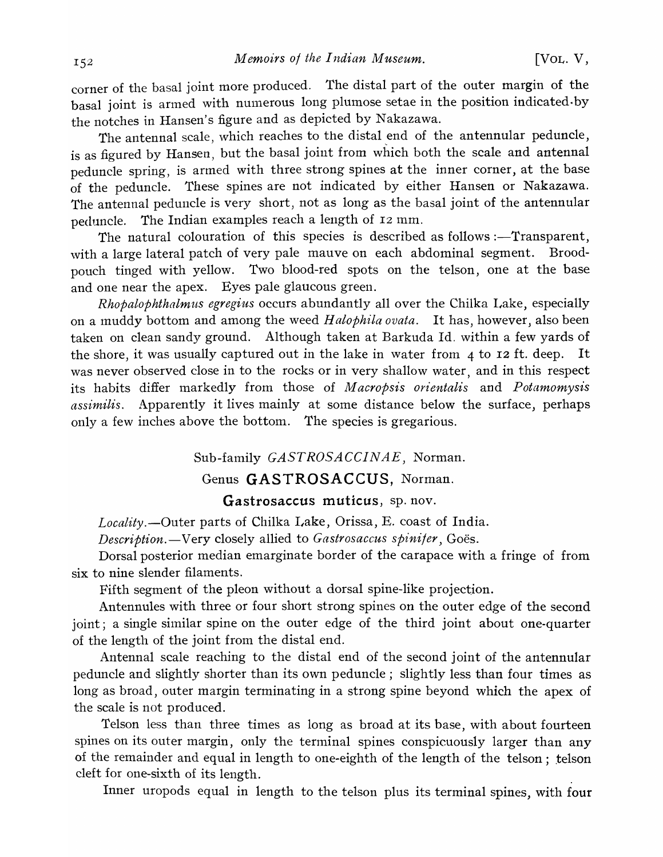corner of the basal joint more produced. The distal part of the outer margin of the basal joint is armed with numerous long plumose setae in the position indicated·by the notches in Hansen's figure and as depicted by Nakazawa.

The antennal scale, which reaches to the distal end of the antennular peduncle, is as figured by Hansen, but the basal joint from which both the scale and antennal peduncle spring, is armed with three strong spines at the inner corner, at the base of the peduncle. These spines are not indicated by either Hansen or Nakazawa. The antennal peduncle is very short, not as long as the basal joint of the antennular peduncle. The Indian examples reach a length of I2 mm.

The natural colouration of this species is described as follows :—Transparent, with a large lateral patch of very pale mauve on each abdominal segment. Broodpouch tinged with yellow. Two blood-red spots on the telson, one at the base and one near the apex. Eyes pale glaucous green.

*Rhopalophthalmus egregius* occurs abundantly all over the Chilka Lake, especially on a muddy bottom and among the weed *Halophila ovata*. It has, however, also been taken on clean sandy ground. Although taken at Barkuda Id. within a few yards of the shore, it was usually captured out in the lake in water from 4 to I2 ft. deep. It was never observed close in to the rocks or in very shallow water, and in this respect its habits differ markedly from those of *M acropsis orientalis* and *Potamomysis assimilis.* Apparently it lives mainly at some distance below the surface, perhaps only a few inches above the bottom. The species is gregarious.

Sub-family *GASTROSACCINAE,* Norman.

## Genus **GASTROSACCUS,** Norman.

## **Gastrosaccus muticus,** sp. nov.

Locality.--Outer parts of Chilka Lake, Orissa, E. coast of India.

*Description.* - Very closely allied to *Gastrosaccus spinifer*, Goës.

Dorsal posterior median emarginate border of the carapace with a fringe of from six to nine slender filaments.

Fifth segment of the pleon without a dorsal spine-like projection.

Antennules with three or four short strong spines on the outer edge of the second joint; a single similar spine on the outer edge of the third joint about one-quarter of the length of the joint from the distal end.

Antennal scale reaching to the distal end of the second joint of the antennular peduncle and slightly shorter than its own peduncle; slightly less than four times as long as broad, outer margin terminating in a strong spine beyond which the apex of the scale is not produced.

Telson less than three times as long as broad at its base, with about fourteen spines on its outer margin, only the terminal spines conspicuously larger than any of the remainder and equal in length to one-eighth of the length of the telson; telson cleft for one-sixth of its length.

Inner uropods equal in length to the telson plus its terminal spines, with four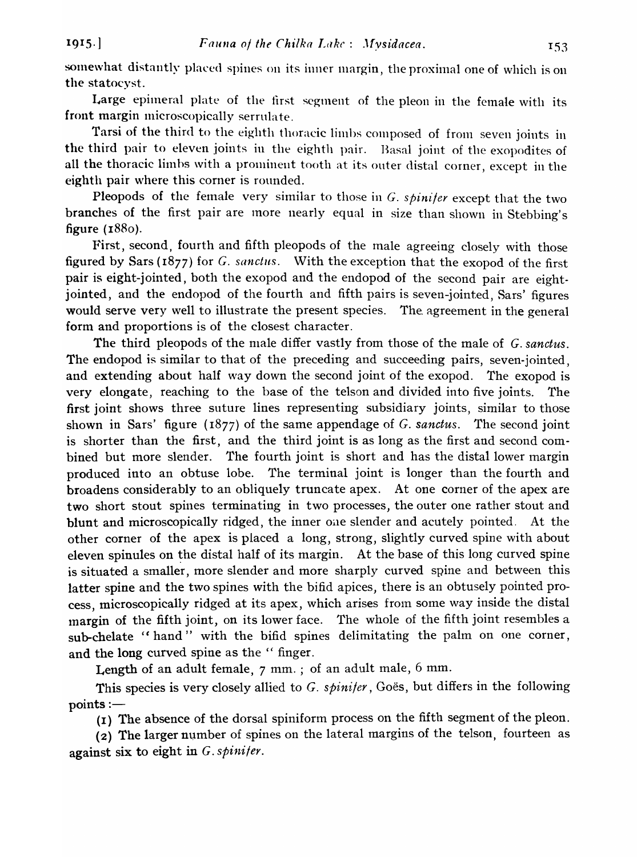somewhat distantly placed spines on its inner margin, the proximal one of which is on the statocyst.

Large epimeral plate of the first segment of the pleon in the female with its front margin microscopically serrulate.

Tarsi of the third to the eighth thoracic limbs composed of from seven joints in the third pair to eleven joints in the eighth pair. Basal joint of the exopodites of all the thoracic limbs with a prominent tooth at its outer distal corner, except in the eighth pair where this corner is rounded.

Pleopods of the female very similar to those in G. *spinifer* except that the two branches of the first pair are more nearly equal in size than shown in Stebbing's figure (1880).

First, second, fourth and fifth pleopods of the male agreeing closely with those figured by Sars (1877) for G. sanctus. With the exception that the exopod of the first pair is eight-jointed, both the exopod and the endopod of the second pair are eightjointed, and the endopod of the fourth and fifth pairs is seven-jointed, Sars' figures would serve very well to illustrate the present species. The agreement in the general form and proportions is of the closest character.

The third pleopods of the male differ vastly from those of the male of G. sanctus. The endopod is similar to that of the preceding and succeeding pairs, seven-jointed, and extending about half way down the second joint of the exopod. The exopod is very elongate, reaching to the base of the telson and divided into five joints. The first joint shows three suture lines representing subsidiary joints, similar to those shown in Sars' figure (I877) of the same appendage of G. *sanctus.* The second joint is shorter than the first, and the third joint is as long as the first and second combined but more slender. The fourth joint is short and has the distal lower margin produced into an obtuse lobe. The terminal joint is longer than the fourth and broadens considerably to an obliquely truncate apex. At one corner of the apex are two short stout spines terminating in two processes, the outer one rather stout and blunt and microscopically ridged, the inner oae slender and acutely pointed. At the other corner of the apex is placed a long, strong, slightly curved spine with about eleven spinules on the distal half of its margin. At the base of this long curved spine is situated a smaller, more slender and more sharply curved spine and between this latter spine and the two spines with the bifid apices, there is an obtusely pointed process, microscopically ridged at its apex, which arises from some way inside the distal margin of the fifth joint, on its lower face. The whole of the fifth joint resembles a sub-chelate "hand" with the bifid spines delimitating the palm on one corner, and the long curved spine as the " finger.

Length of an adult female, 7 mm. ; of an adult male, 6 mm.

This species is very closely allied to G. *spinifer*, Goes, but differs in the following  $points :=$ 

(I) The absence of the dorsal spiniform process on the fifth segment of the pleon.

(2) The larger number of spines on the lateral margins of the telson, fourteen as against six to eight in G. *spinifer.*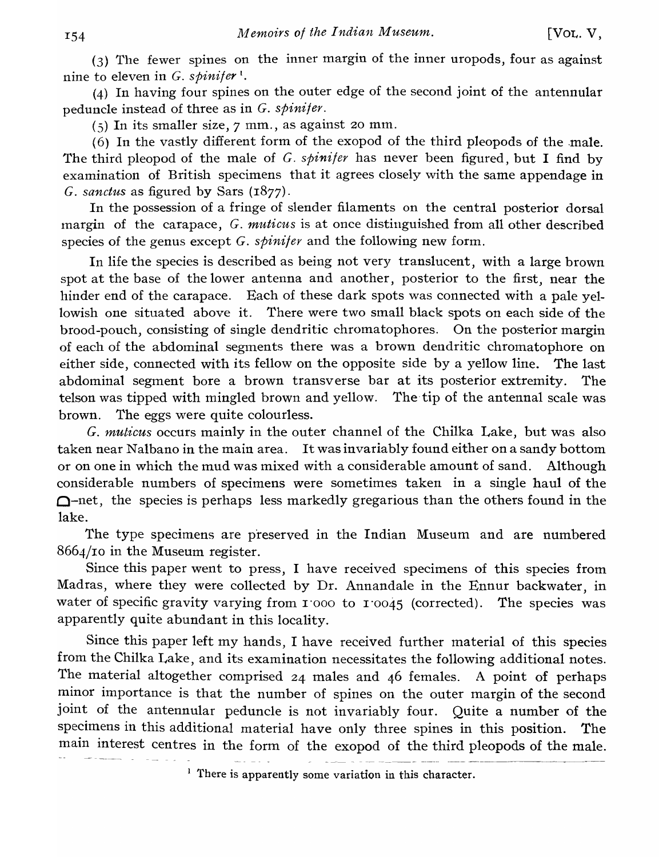(3) The fewer spines on the inner margin of the inner uropods, four as against nine to eleven in G. *spinifer* t.

(4) In having four spines on the outer edge of the second joint of the antennular peduncle instead of three as in G. *spinifer.* 

 $(5)$  In its smaller size,  $7 \text{ mm}$ , as against 20 mm.

 $(6)$  In the vastly different form of the exopod of the third pleopods of the male. The third pleopod of the male of G. *spinifer* has never been figured, but I find by examination of British specimens that it agrees closely with the same appendage in *C. sanctus* as figured by Sars (1877).

In the possession of a fringe of slender filaments on the central posterior dorsal margin of the carapace, G. *muticus* is at once distinguished from all other described species of the genus except G. *spinifer* and the following new form.

In life the species is described as being not very translucent, with a large brown spot at the base of the lower antenna and another, posterior to the first, near the hinder end of the carapace. Each of these dark spots was connected with a pale yellowish one situated above it. There were two small black spots on each side of the brood-pouch, consisting of single dendritic chromatophores. On the posterior margin of each of the abdominal segments there was a brown dendritic chromatophore on either side, connected with its fellow on the opposite side by a yellow line. The last abdominal segment bore a brown transverse bar at its posterior extremity. The telson was tipped with mingled brown and yellow. The tip of the antennal scale was brown. The eggs were quite colourless.

C. *muticus* occurs mainly in the outer channel of the Chilka Lake, but was also taken near Nalbano in the main area. It was invariably found either on a sandy bottom or on one in which the mud was mixed with a considerable amount of sand. Although considerable numbers of specimens were sometimes taken in a single haul of the  $\Omega$ -net, the species is perhaps less markedly gregarious than the others found in the lake.

The type specimens are preserved in the Indian Museum and are numbered 8664/IO in the Museum register.

Since this paper went to press, I have received specimens of this species from Madras, where they were collected by Dr. Annandale in the Ennur backwater, in water of specific gravity varying from 1'000 to 1'0045 (corrected). The species was apparently quite abundant in this locality.

Since this paper left my hands, I have received further material of this species from the Chilka Lake, and its examination necessitates the following additional notes. The material altogether comprised 24 males and 46 females. A point of perhaps minor importance is that the number of spines on the outer margin of the second joint of the antennular peduncle is not invariably four. Quite a number of the specimens in this additional material have only three spines in this position. The main interest centres in the form of the exopod of the third pleopods of the male.

<sup>1</sup> There is apparently some variation in this character.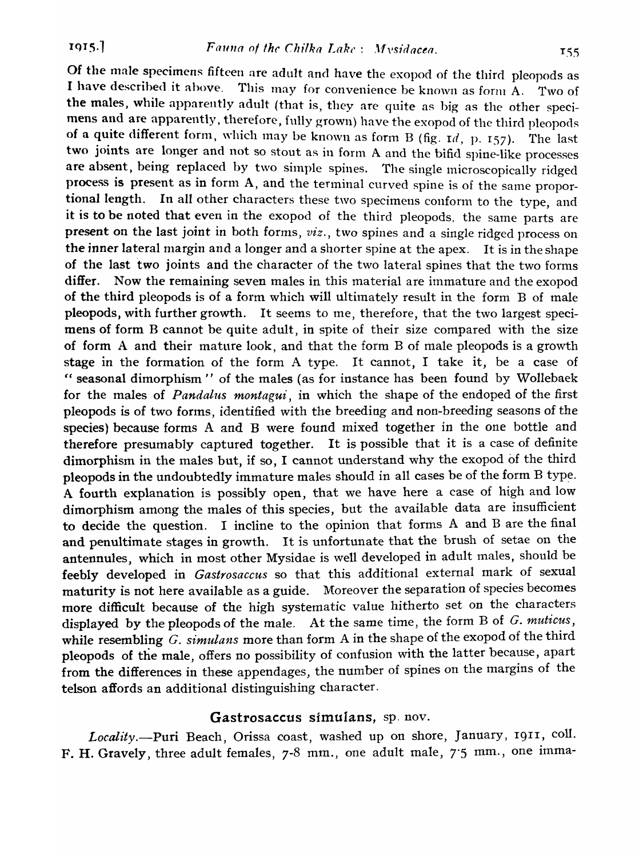Of the male specimens fifteen are adult and have the exopod of the third pleopods as I have described it above. This may for convenience be known as form A. Two of the males, while apparently adult (that is, they are quite as big as the other specimens and are apparently, therefore, fully grown) have the exopod of the third pleopods of a quite different form, which may be known as form B (fig.  $\mathrm{r}d$ , p. 157). The last two joints are longer and not so stout as in form A and the bifid spine-like processes are absent, being replaced by two simple spines. The single microscopically ridged process is present as in form A, and the terminal curved spine is of the same proportional length. In all other characters these two specimens conform to the type, and it is to be noted that even in the exopod of the third pleopods, the same parts are present on the last joint in both forms, *viz.,* two spines and a single ridged process on the inner lateral margin and a longer and a shorter spine at the apex. It is in the shape of the last two joints and the character of the two lateral spines that the two forms differ. Now the remaining seven males in this material are immature and the exopod of the third pleopods is of a form which will ultimately result in the form B of male pleopods, with further growth. It seems to me, therefore, that the two largest specimens of form B cannot be quite adult, in spite of their size compared with the size of form A and their mature look, and that the form B of male pleopods is a growth stage in the formation of the form A type. It cannot, I take it, be a case of " seasonal dimorphism " of the males (as for instance has been found by Wollebaek for the males of *Pandalus montagui,* in which the shape of the endoped of the first pleopods is of two fonns, identified with the breeding and non-breeding seasons of the species) because forms A and B were found mixed together in the one bottle and therefore presumably captured together. It is possible that it is a case of definite dimorphism in the males but, if so, I cannot understand why the exopod of the third pleopods in the undoubtedly immature males should in all cases be of the form B type. A fourth explanation is possibly open, that we have here a case of high and low dimorphism among the males of this species, but the available data are insufficient to decide the question. I incline to the opinion that forms A and B are the final and penultimate stages in growth. It is unfortunate that the brush of setae on the antennules, which in most other Mysidae is well developed in adult males, should be feebly developed in *Gastrosaccus* so that this additional external mark of sexual maturity is not here available as a guide. Moreover the separation of species becomes more difficult because of the high systematic value hitherto set on the characters displayed by the pleopods of the male. At the same time, the form B of *G. muticus,*  while resembling *C. simulans* more than form A in the shape of the exopod of the third pleopods of the male, offers no possibility of confusion with the latter because, apart from the differences in these appendages, the number of spines on the margins of the telson affords an additional distinguishing character.

#### Gastrosaccus simulans, sp. nov.

*Locality.-Puri* Beach, Orissa coast, washed up on shore, January, 1911, colI. F. H. Gravely, three adult females, 7-8 mm., one adult male, 7'S mm., one imma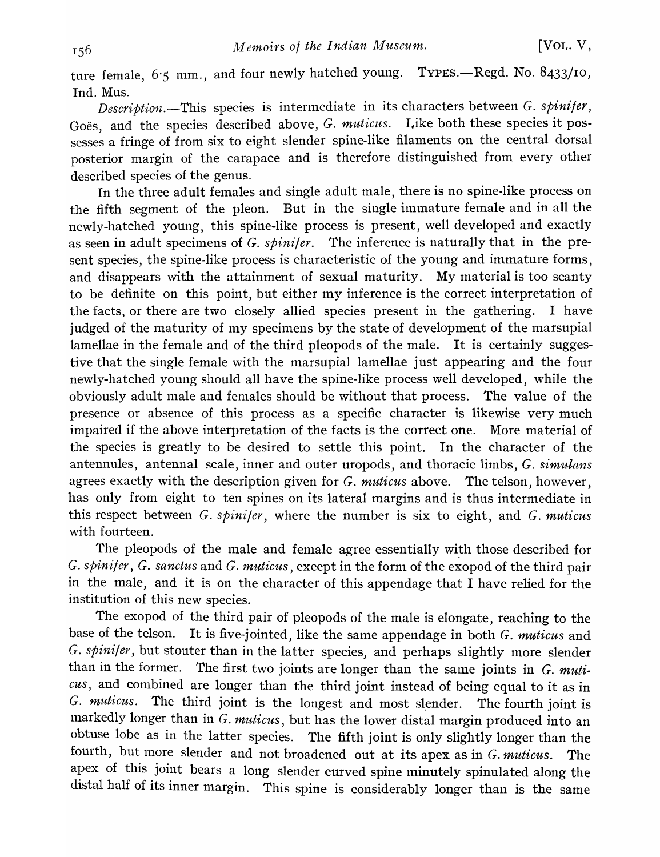ture female, 6.5 mm., and four newly hatched young. TYPES.-Regd. No. 8433/10, Ind. Mus.

*Description.*-This species is intermediate in its characters between G. spinifer, Goes, and the species described above, G. muticus. Like both these species it possesses a fringe of from six to eight slender spine-like filaments on the central dorsal posterior margin of the carapace and is therefore distinguished from every other described species of the genus.

In the three adult females and single adult male, there is no spine-like process on the fifth segment of the pleon. But in the single immature female and in all the newly-hatched young, this spine-like process is present, well developed and exactly as seen in adult specimens of G. *spinifer.* The inference is naturally that in the present species, the spine-like process is characteristic of the young and immature forms, and disappears with the attainment of sexual maturity. My material is too scanty to be definite on this point, but either my inference is the correct interpretation of the facts, or there are two closely allied species present in the gathering. I have judged of the maturity of my specimens by the state of development of the marsupial lamellae in the female and of the third pleopods of the male. It is certainly suggestive that the single female with the marsupial lamellae just appearing and the four newly-hatched young should all have the spine-like process well developed, while the obviously adult male and females should be without that process. The value of the presence or absence of this process as a specific character is likewise very much impaired if the above interpretation of the facts is the correct one. More material of the species is greatly to be desired to settle this point. In the character of the antennules, antennal scale, inner and outer uropods, and thoracic limbs, G. *simulans*  agrees exactly with the description given for G. *muticus* above. The telson, however, has only from eight to ten spines on its lateral margins and is thus intermediate in this respect between G. *spinifer,* where the number is six to eight, and G. *muticus*  with fourteen.

The pleopods of the male and female agree essentially with those described for G. *spinifer,* G. *sanctus* and G. *muticus,* except in the form of the exopod of the third pair in the male, and it is on the character of this appendage that I have relied for the institution of this new species.

The exopod of the third pair of pleopods of the male is elongate, reaching to the base of the telson. It is five-jointed, like the same appendage in both G. *muticus* and G. spinifer, but stouter than in the latter species, and perhaps slightly more slender than in the former. The first two joints are longer than the same joints in G. *muticus,* and combined are longer than the third joint instead of being equal to it as in *G. muticus.* The third joint is the longest and most slender. The fourth joint is markedly longer than in G. *muticus,* but has the lower distal margin produced into an obtuse lobe as in the latter species. The fifth joint is only slightly longer than the fourth, but more slender and not broadened out at its apex as in G. *muticus.* The apex of this joint bears a long slender curved spine minutely spinulated along the distal half of its inner margin. This spine is considerably longer than is the same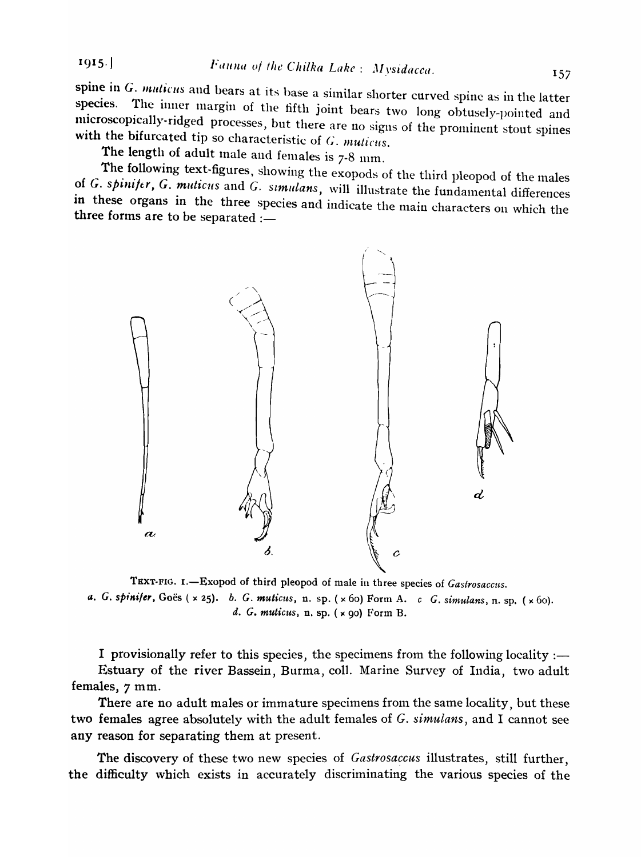1915. *Fauna of the Chilka Lake: Mysidacca.* 157

spine in  $G$ . muticus and bears at its base a similar shorter curved spine as in the latter species. The inner margin of the fifth joint bears two long obtusely-pointed and microscopically-ridged processes, but there are no signs of the prominent stout spines with the bifurcated tip so characteristic of G. *muticus*.

The length of adult male and females is  $7-8$  mm.

The following text-figures, showing the exopods of the third pleopod of the males of G. spinifer, G. muticus and G. simulans, will illustrate the fundamental differences in these organs in the three species and indicate the main characters on which the three forms are to be separated :—



TEXT-FIG. I.-Exopod of third pleopod of male in three species of *Gastrosaccus*. a. *G. spinifer*, *Goës* ( x 25). *b. G. muticus*, n. sp. ( x 60) Form A. *c G. simulans*, n. sp. ( x 60). *d. G. muticus*, n. sp. (  $\times$  90) Form B.

I provisionally refer to this species, the specimens from the following locality :— Estuary of the river Bassein, Burma, colI. Marine Survey of India, two adult females, 7 mm.

There are no adult males or immature specimens from the same locality, but these two females agree absolutely with the adult females of G. *simulans,* and I cannot see any reason for separating them at present.

The discovery of these two new species of *Gastrosaccus* illustrates, still further, the difficulty which exists in accurately discriminating the various species of the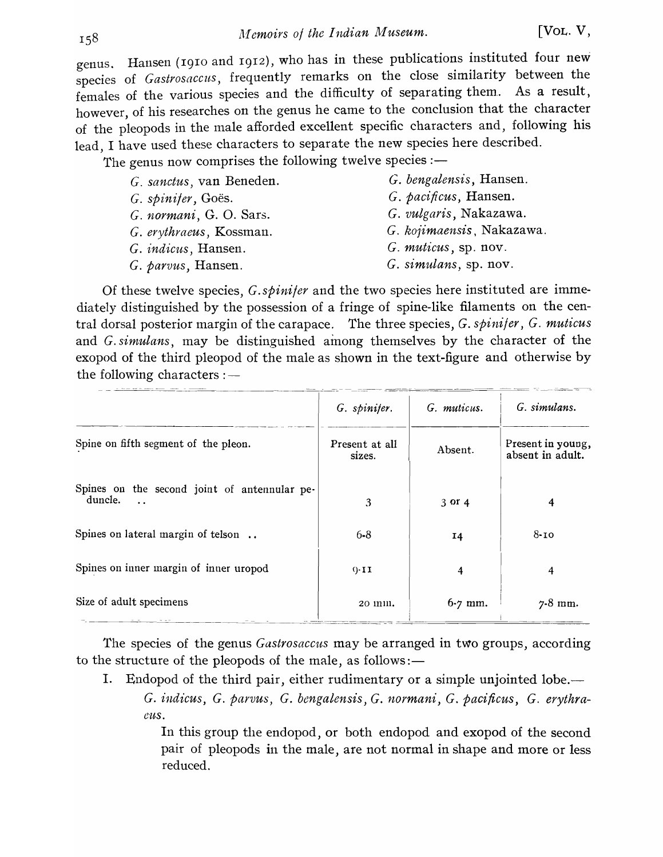genus. Hansen (1910 and 1912), who has in these publications instituted four new species of *Gastrosaccus,* frequently remarks on the close similarity between the females of the various species and the difficulty of separating them.. As a result, however, of his researches on the genus he came to the conclusion that the character of the pleopods in the male afforded excellent specific characters and, following his lead, I have used these characters to separate the new species here described.

The genus now comprises the following twelve species :-

| G. sanctus, van Beneden.    | G. bengalensis, Hansen.   |
|-----------------------------|---------------------------|
| G. spinifer, Goës.          | G. pacificus, Hansen.     |
| G. normani, G. O. Sars.     | G. vulgaris, Nakazawa.    |
| G. erythraeus, Kossman.     | G. kojimaensis, Nakazawa. |
| G. <i>indicus</i> , Hansen. | G. muticus, sp. nov.      |
| G. parvus, Hansen.          | G. simulans, sp. nov.     |
|                             |                           |

Of these twelve species, *G.spinijer* and the two species here instituted are immediately distinguished by the possession of a fringe of spine-like filaments on the central dorsal posterior margin of the carapace. The three species, *G. spinifer,* G. *muticus*  and G. *simulans,* may be distinguished among themselves by the character of the exopod of the third pleopod of the male as shown in the text-figure and otherwise by the following characters :—

|                                                                                 | G. spinifer.             | G. muticus. | G. simulans.                          |
|---------------------------------------------------------------------------------|--------------------------|-------------|---------------------------------------|
| Spine on fifth segment of the pleon.                                            | Present at all<br>sizes. | Absent.     | Present in young,<br>absent in adult. |
| Spines on the second joint of antennular pe-<br>duncle.<br>$\ddot{\phantom{a}}$ | 3                        | $3$ or $4$  | 4                                     |
| Spines on lateral margin of telson                                              | $6 - 8$                  | 14          | $8 - 10$                              |
| Spines on inner margin of inner uropod                                          | $0 - 11$                 | 4           | 4                                     |
| Size of adult specimens                                                         | 20 11111.                | $6 - 7$ mm. | $7-8$ mm.                             |

The species of the genus *Gastrosaccus* may be arranged in two groups, according to the structure of the pleopods of the male, as follows: $-$ 

I. Endopod of the third pair, either rudimentary or a simple unjointed lobe.— G. *indicus,* G. *parvus,* G. *bengalensis,* G. *normani,* G. *paci/icus, C. erythraeus.* 

> In this group the endopod, or both endopod and exopod of the second pair of pleopods in the male, are not normal in shape and more or less reduced.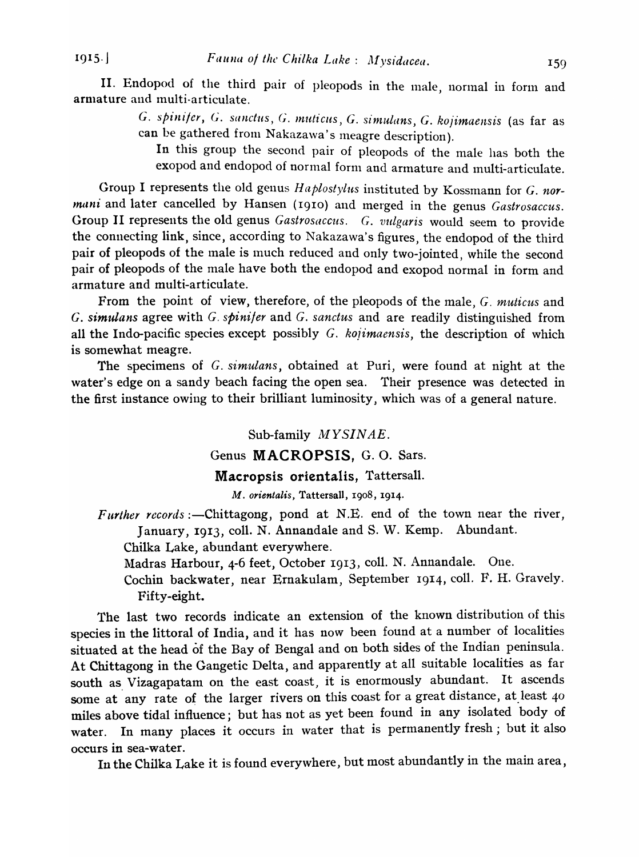$1915.$ 

II. Endopod of the third pair of pleopods in the male, normal in form and armature and multi-articulate.

G. spinifer, G. sanctus, G. muticus, G. simulans, G. *kojimaensis* (as far as can be gathered from Nakazawa's meagre description).

In this group the second pair of pleopods of the male has both the exopod and endopod of normal form and armature and multi-articulate.

Group I represents the old genus *Haplostylus* instituted by Kossmann for G. *nor*mani and later cancelled by Hansen (1910) and merged in the genus *Gastrosaccus*. Group II represents the old genus *Gastrosaecus. C. vulgaris* would seem to provide the connecting link, since, according to Nakazawa's figures, the endopod of the third pair of pleopods of the male is much reduced and only two-jointed, while the second pair of pleopods of the male have both the endopod and exopod normal in form and armature and multi-articulate.

From the point of view, therefore, of the pleopods of the male, G. *muticus* and *C. simulans* agree with G. *spinifer* and G. *sanetus* and are readily distinguished from all the Indo-pacific species except possibly G. *kojimaensis,* the description of which is somewhat meagre.

The specimens of G. *simulans,* obtained at Puri, were found at night at the water's edge on a sandy beach facing the open sea. Their presence was detected in the first instance owing to their brilliant luminosity, which was of a general nature.

#### Sub-family *MYSINAE.*

#### Genus MACROPSIS, G. O. Sars.

#### Macropsis orientalis, Tattersall.

M. *orientalis,* Tattersall, 1908, 1914.

*Further records* :- Chittagong, pond at N.E. end of the town near the river, January, 1913, colI. N. Annandale and S. W. Kemp. Abundant.

Chilka Lake, abundant everywhere.

Madras Harbour, 4-6 feet, October 1913, coll. N. Annandale. One.

Cochin backwater, near Ernakulam, September 1914, colI. F. H. Gravely. Fifty-eight.

The last two records indicate an extension of the known distribution of this species in the littoral of India, and it has now been found at a number of localities situated at the head of the Bay of Bengal and on both sides of the Indian peninsula. At Chittagong in the Gangetic Delta, and apparently at all suitable localities as far south as Vizagapatam on the east coast, it is enormously abundant. It ascends some at any rate of the larger rivers on this coast for a great distance, at least 40 miles above tidal influence; but has not as yet been found in any isolated body of water. In many places it occurs in water that is permanently fresh; but it also occurs in sea-water.

In the Chilka Lake it is found everywhere, but most abundantly in the main area,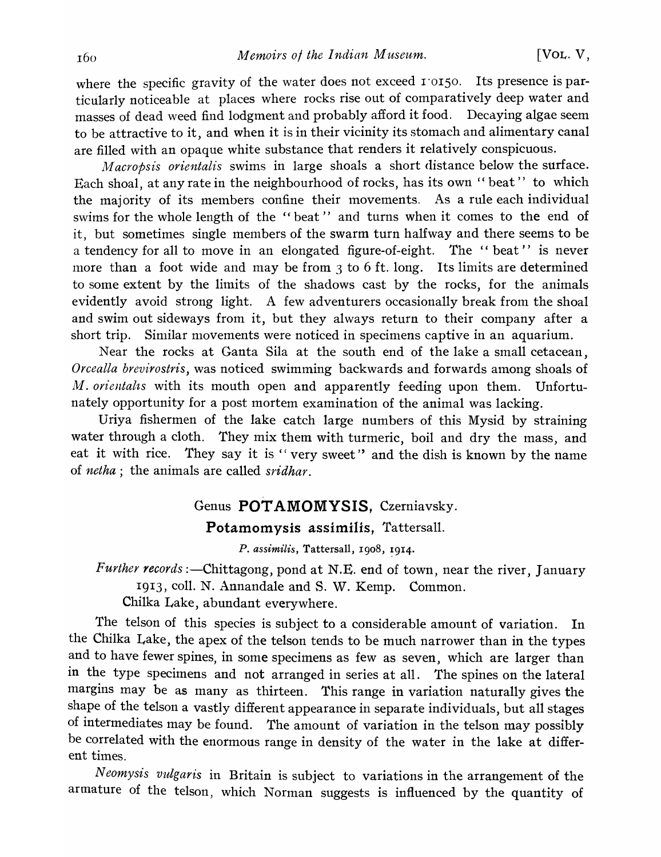where the specific gravity of the water does not exceed  $1'$  or  $50$ . Its presence is particularly noticeable at places where rocks rise out of comparatively deep water and masses of dead weed find lodgment and probably afford it food. Decaying algae seem to be attractive to it, and when it is in their vicinity its stomach and alimentary canal are filled with an opaque white substance that renders it relatively conspicuous.

*M acropsis orientalis* swims in large shoals a short distance below the surface. Each shoal, at any rate in the neighbourhood of rocks, has its own "beat" to which the majority of its members confine their movements. As a rule each individual swims for the whole length of the "beat" and turns when it comes to the end of it, but sometimes single members of the swarm turn halfway and there seems to be a tendency for all to move in an elongated figure-of-eight. The " beat" is never more than a foot wide and may be from  $3$  to  $6$  ft. long. Its limits are determined to some extent by the limits of the shadows cast by the rocks, for the animals evidently avoid strong light. A few adventurers occasionally break from the shoal and swim out sideways from it, but they always return to their company after a short trip. Similar movements were noticed in specimens captive in an aquarium.

Near the rocks at Ganta Sila at the south end of the lake a small cetacean, *Orcealla brevirostris,* was noticed swimming backwards and forwards among shoals of M. *orientalts* with its mouth open and apparently feeding upon them. Unfortunately opportunity for a post mortem examination of the animal was lacking.

Uriya fishermen of the lake catch large numbers of this Mysid by straining water through a cloth. They mix them with turmeric, boil and dry the mass, and eat it with rice. They say it is "very sweet" and the dish is known by the name of *netha;* the animals are called *sridhar.* 

# Genus **POTAMOMYSIS**, Czerniavsky.

Potamomysis assimilis, Tattersall.

*P. assimilis*, Tattersall, 1908, 1914.

*Further records* :- Chittagong, pond at N.E. end of town, near the river, January 1913, coll. N. Annandale and S. W. Kemp. Common.

Chilka Lake, abundant everywhere.

The telson of this species is subject to a considerable amount of variation. In the Chilka Lake, the apex of the telson tends to be much narrower than in the types and to have fewer spines, in some specimens as few as seven, which are larger than in the type specimens and not arranged in series at all. The spines on the lateral margins may be as many as thirteen. This range in variation naturally gives the shape of the telson a vastly different appearance in separate individuals, but all stages of intermediates may be found. The amount of variation in the telson may possibly be correlated with the enormous range in density of the water in the lake at different times.

N *eomysis vulgaris* in Britain is subject to variations in the arrangement of the armature of the telson, which Norman suggests is influenced by the quantity of